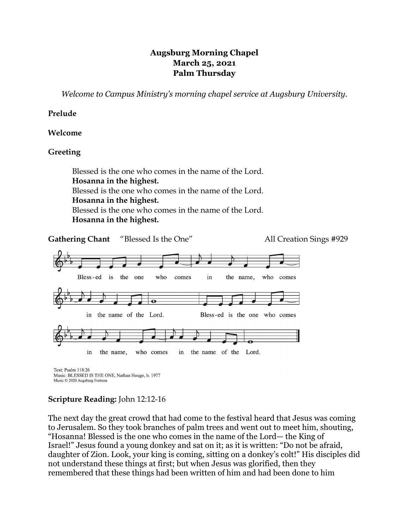# **Augsburg Morning Chapel March 25, 2021 Palm Thursday**

*Welcome to Campus Ministry's morning chapel service at Augsburg University.*

## **Prelude**

## **Welcome**

# **Greeting**

Blessed is the one who comes in the name of the Lord. **Hosanna in the highest.** Blessed is the one who comes in the name of the Lord. **Hosanna in the highest.** Blessed is the one who comes in the name of the Lord. **Hosanna in the highest.**



Music © 2020 Augsburg Fortress

# **Scripture Reading:** John 12:12-16

The next day the great crowd that had come to the festival heard that Jesus was coming to Jerusalem. So they took branches of palm trees and went out to meet him, shouting, "Hosanna! Blessed is the one who comes in the name of the Lord— the King of Israel!" Jesus found a young donkey and sat on it; as it is written: "Do not be afraid, daughter of Zion. Look, your king is coming, sitting on a donkey's colt!" His disciples did not understand these things at first; but when Jesus was glorified, then they remembered that these things had been written of him and had been done to him